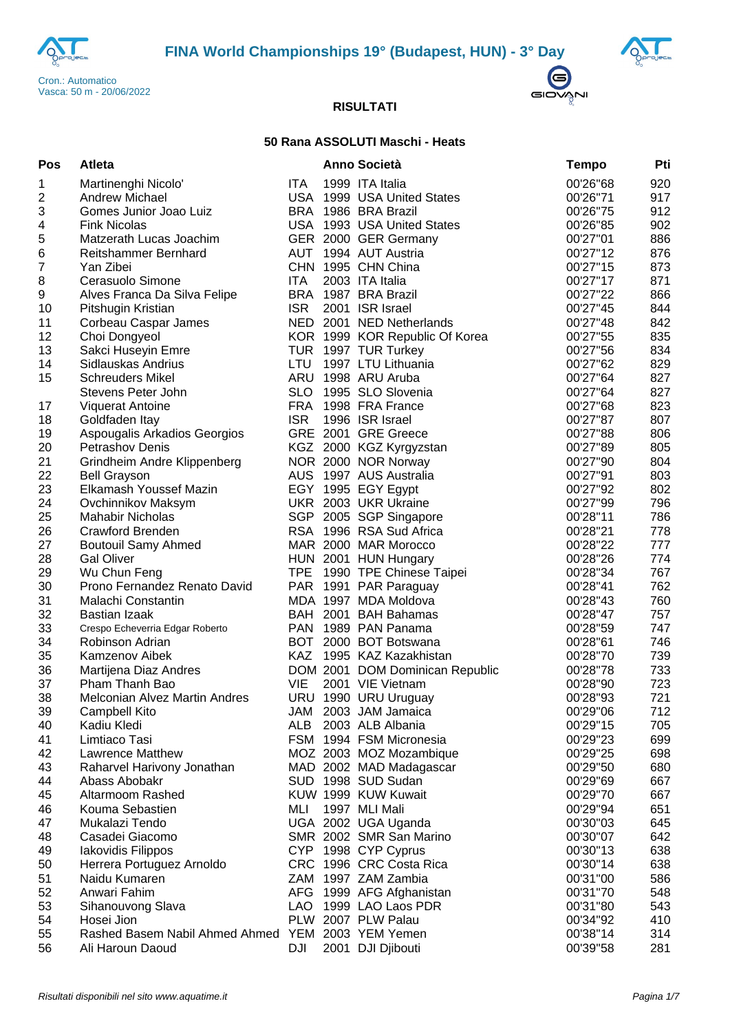





## **50 Rana ASSOLUTI Maschi - Heats**

| Pos            | Atleta                                            |            | <b>Anno Società</b>                      | <b>Tempo</b>         | Pti        |
|----------------|---------------------------------------------------|------------|------------------------------------------|----------------------|------------|
| 1              | Martinenghi Nicolo'                               | <b>ITA</b> | 1999 ITA Italia                          | 00'26"68             | 920        |
| 2              | <b>Andrew Michael</b>                             |            | USA 1999 USA United States               | 00'26"71             | 917        |
| 3              | Gomes Junior Joao Luiz                            |            | BRA 1986 BRA Brazil                      | 00'26"75             | 912        |
| 4              | <b>Fink Nicolas</b>                               |            | USA 1993 USA United States               | 00'26"85             | 902        |
| 5              | Matzerath Lucas Joachim                           |            | GER 2000 GER Germany                     | 00'27"01             | 886        |
| $\,6$          | Reitshammer Bernhard                              | AUT        | 1994 AUT Austria                         | 00'27"12             | 876        |
| $\overline{7}$ | Yan Zibei                                         |            | CHN 1995 CHN China                       | 00'27"15             | 873        |
| 8              | Cerasuolo Simone                                  | <b>ITA</b> | 2003 ITA Italia                          | 00'27"17             | 871        |
| 9              | Alves Franca Da Silva Felipe                      |            | BRA 1987 BRA Brazil                      | 00'27"22             | 866        |
| 10             | Pitshugin Kristian                                | <b>ISR</b> | 2001 ISR Israel                          | 00'27"45             | 844        |
| 11             | Corbeau Caspar James                              |            | NED 2001 NED Netherlands                 | 00'27"48             | 842        |
| 12             | Choi Dongyeol                                     |            | KOR 1999 KOR Republic Of Korea           | 00'27"55             | 835        |
| 13             | Sakci Huseyin Emre                                |            | TUR 1997 TUR Turkey                      | 00'27"56             | 834        |
| 14             | Sidlauskas Andrius                                | <b>LTU</b> | 1997 LTU Lithuania                       | 00'27"62             | 829        |
| 15             | <b>Schreuders Mikel</b>                           | ARU        | 1998 ARU Aruba                           | 00'27"64             | 827        |
|                | Stevens Peter John                                | <b>SLO</b> | 1995 SLO Slovenia                        | 00'27"64             | 827        |
| 17             | <b>Viquerat Antoine</b>                           | <b>FRA</b> | 1998 FRA France                          | 00'27"68             | 823        |
| 18             | Goldfaden Itay                                    | <b>ISR</b> | 1996 ISR Israel                          | 00'27"87             | 807        |
| 19             | Aspougalis Arkadios Georgios                      |            | GRE 2001 GRE Greece                      | 00'27"88             | 806        |
| 20             | Petrashov Denis                                   |            | KGZ 2000 KGZ Kyrgyzstan                  | 00'27"89             | 805        |
| 21             | Grindheim Andre Klippenberg                       |            | NOR 2000 NOR Norway                      | 00'27"90             | 804        |
| 22             | <b>Bell Grayson</b>                               |            | AUS 1997 AUS Australia                   | 00'27"91             | 803        |
| 23             | Elkamash Youssef Mazin                            |            | EGY 1995 EGY Egypt                       | 00'27"92             | 802        |
| 24             | Ovchinnikov Maksym                                |            | UKR 2003 UKR Ukraine                     | 00'27"99             | 796        |
| 25             | <b>Mahabir Nicholas</b>                           |            | SGP 2005 SGP Singapore                   | 00'28"11             | 786        |
| 26             | <b>Crawford Brenden</b>                           |            | RSA 1996 RSA Sud Africa                  | 00'28"21             | 778        |
| 27             | <b>Boutouil Samy Ahmed</b>                        |            | MAR 2000 MAR Morocco                     | 00'28"22             | 777        |
| 28             | <b>Gal Oliver</b>                                 |            | HUN 2001 HUN Hungary                     | 00'28"26             | 774        |
| 29             | Wu Chun Feng                                      |            | TPE 1990 TPE Chinese Taipei              | 00'28"34             | 767        |
| 30             | Prono Fernandez Renato David                      |            | PAR 1991 PAR Paraguay                    | 00'28"41             | 762        |
| 31             | Malachi Constantin                                |            | MDA 1997 MDA Moldova                     | 00'28"43             | 760        |
| 32             | Bastian Izaak                                     |            | BAH 2001 BAH Bahamas                     | 00'28"47             | 757        |
| 33             | Crespo Echeverria Edgar Roberto                   |            | PAN 1989 PAN Panama                      | 00'28"59             | 747        |
| 34             | Robinson Adrian                                   |            | BOT 2000 BOT Botswana                    | 00'28"61             | 746        |
| 35             | Kamzenov Aibek                                    |            | KAZ 1995 KAZ Kazakhistan                 | 00'28"70             | 739        |
| 36             | Martijena Diaz Andres                             |            | DOM 2001 DOM Dominican Republic          | 00'28"78             | 733        |
| 37<br>38       | Pham Thanh Bao                                    | <b>VIE</b> | 2001 VIE Vietnam                         | 00'28"90             | 723<br>721 |
|                | Melconian Alvez Martin Andres                     |            | URU 1990 URU Uruguay                     | 00'28"93<br>00'29"06 | 712        |
| 39             | Campbell Kito<br>Kadiu Kledi                      | ALB        | JAM 2003 JAM Jamaica<br>2003 ALB Albania | 00'29"15             | 705        |
| 40<br>41       | Limtiaco Tasi                                     |            | FSM 1994 FSM Micronesia                  | 00'29"23             | 699        |
| 42             | <b>Lawrence Matthew</b>                           |            | MOZ 2003 MOZ Mozambique                  | 00'29"25             | 698        |
| 43             | Raharvel Harivony Jonathan                        |            | MAD 2002 MAD Madagascar                  | 00'29"50             | 680        |
| 44             | Abass Abobakr                                     |            | SUD 1998 SUD Sudan                       | 00'29"69             | 667        |
| 45             | Altarmoom Rashed                                  |            | KUW 1999 KUW Kuwait                      | 00'29"70             | 667        |
| 46             | Kouma Sebastien                                   | MLI        | 1997 MLI Mali                            | 00'29"94             | 651        |
| 47             | Mukalazi Tendo                                    |            | UGA 2002 UGA Uganda                      | 00'30"03             | 645        |
| 48             | Casadei Giacomo                                   |            | SMR 2002 SMR San Marino                  | 00'30"07             | 642        |
| 49             | Iakovidis Filippos                                |            | CYP 1998 CYP Cyprus                      | 00'30"13             | 638        |
| 50             | Herrera Portuguez Arnoldo                         |            | CRC 1996 CRC Costa Rica                  | 00'30"14             | 638        |
| 51             | Naidu Kumaren                                     |            | ZAM 1997 ZAM Zambia                      | 00'31"00             | 586        |
| 52             | Anwari Fahim                                      |            | AFG 1999 AFG Afghanistan                 | 00'31"70             | 548        |
| 53             | Sihanouvong Slava                                 | <b>LAO</b> | 1999 LAO Laos PDR                        | 00'31"80             | 543        |
| 54             | Hosei Jion                                        |            | PLW 2007 PLW Palau                       | 00'34"92             | 410        |
| 55             | Rashed Basem Nabil Ahmed Ahmed YEM 2003 YEM Yemen |            |                                          | 00'38"14             | 314        |
| 56             | Ali Haroun Daoud                                  | DJI        | 2001 DJI Djibouti                        | 00'39"58             | 281        |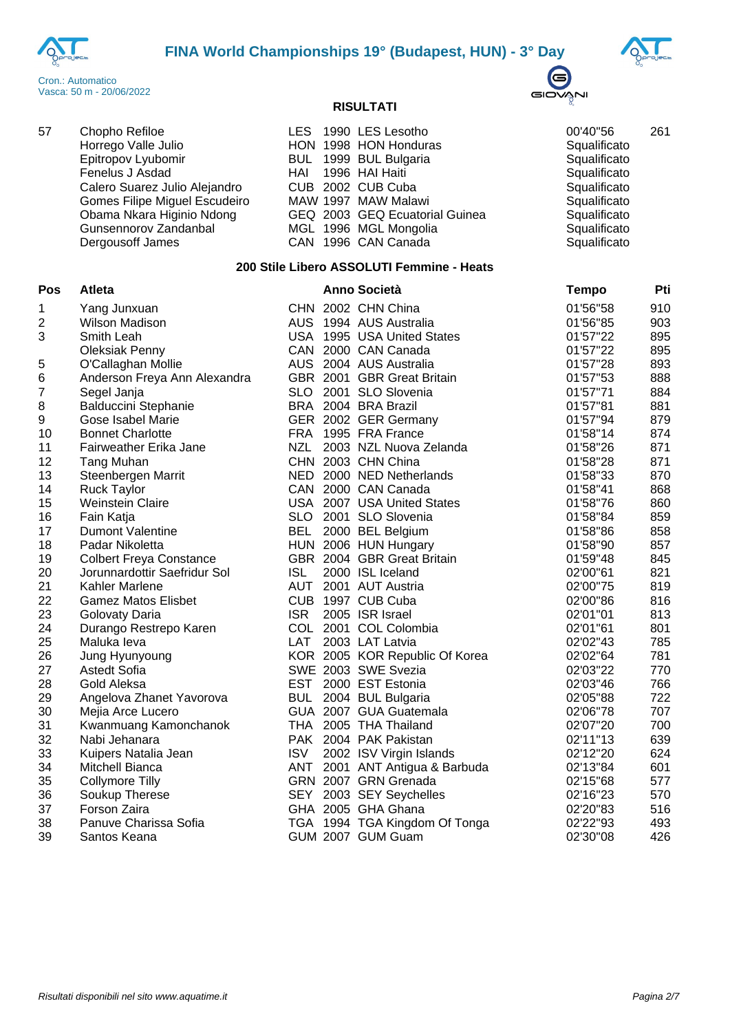





| 57 | Chopho Refiloe                | LES 1990 LES Lesotho           | 00'40"56     | 261 |
|----|-------------------------------|--------------------------------|--------------|-----|
|    | Horrego Valle Julio           | HON 1998 HON Honduras          | Squalificato |     |
|    | Epitropov Lyubomir            | BUL 1999 BUL Bulgaria          | Squalificato |     |
|    | Fenelus J Asdad               | HAI 1996 HAI Haiti             | Squalificato |     |
|    | Calero Suarez Julio Alejandro | CUB 2002 CUB Cuba              | Squalificato |     |
|    | Gomes Filipe Miguel Escudeiro | MAW 1997 MAW Malawi            | Squalificato |     |
|    | Obama Nkara Higinio Ndong     | GEQ 2003 GEQ Ecuatorial Guinea | Squalificato |     |
|    | Gunsennorov Zandanbal         | MGL 1996 MGL Mongolia          | Squalificato |     |
|    | Dergousoff James              | CAN 1996 CAN Canada            | Squalificato |     |
|    |                               |                                |              |     |

# **200 Stile Libero ASSOLUTI Femmine - Heats**

| Pos              | Atleta                         |            | <b>Anno Società</b>            | <b>Tempo</b> | Pti |
|------------------|--------------------------------|------------|--------------------------------|--------------|-----|
| 1                | Yang Junxuan                   |            | CHN 2002 CHN China             | 01'56"58     | 910 |
| $\boldsymbol{2}$ | <b>Wilson Madison</b>          |            | AUS 1994 AUS Australia         | 01'56"85     | 903 |
| 3                | Smith Leah                     |            | USA 1995 USA United States     | 01'57"22     | 895 |
|                  | <b>Oleksiak Penny</b>          |            | CAN 2000 CAN Canada            | 01'57"22     | 895 |
| 5                | O'Callaghan Mollie             |            | AUS 2004 AUS Australia         | 01'57"28     | 893 |
| 6                | Anderson Freya Ann Alexandra   |            | GBR 2001 GBR Great Britain     | 01'57"53     | 888 |
| $\overline{7}$   | Segel Janja                    |            | SLO 2001 SLO Slovenia          | 01'57"71     | 884 |
| $\, 8$           | <b>Balduccini Stephanie</b>    |            | BRA 2004 BRA Brazil            | 01'57"81     | 881 |
| 9                | Gose Isabel Marie              |            | GER 2002 GER Germany           | 01'57"94     | 879 |
| 10               | <b>Bonnet Charlotte</b>        |            | FRA 1995 FRA France            | 01'58"14     | 874 |
| 11               | Fairweather Erika Jane         | <b>NZL</b> | 2003 NZL Nuova Zelanda         | 01'58"26     | 871 |
| 12               | Tang Muhan                     |            | CHN 2003 CHN China             | 01'58"28     | 871 |
| 13               | Steenbergen Marrit             |            | NED 2000 NED Netherlands       | 01'58"33     | 870 |
| 14               | <b>Ruck Taylor</b>             |            | CAN 2000 CAN Canada            | 01'58"41     | 868 |
| 15               | <b>Weinstein Claire</b>        |            | USA 2007 USA United States     | 01'58"76     | 860 |
| 16               | Fain Katja                     |            | SLO 2001 SLO Slovenia          | 01'58"84     | 859 |
| 17               | <b>Dumont Valentine</b>        | BEL        | 2000 BEL Belgium               | 01'58"86     | 858 |
| 18               | Padar Nikoletta                |            | HUN 2006 HUN Hungary           | 01'58"90     | 857 |
| 19               | <b>Colbert Freya Constance</b> |            | GBR 2004 GBR Great Britain     | 01'59"48     | 845 |
| 20               | Jorunnardottir Saefridur Sol   | <b>ISL</b> | 2000 ISL Iceland               | 02'00"61     | 821 |
| 21               | Kahler Marlene                 |            | AUT 2001 AUT Austria           | 02'00"75     | 819 |
| 22               | <b>Gamez Matos Elisbet</b>     |            | CUB 1997 CUB Cuba              | 02'00"86     | 816 |
| 23               | Golovaty Daria                 | <b>ISR</b> | 2005 ISR Israel                | 02'01"01     | 813 |
| 24               | Durango Restrepo Karen         |            | COL 2001 COL Colombia          | 02'01"61     | 801 |
| 25               | Maluka leva                    | <b>LAT</b> | 2003 LAT Latvia                | 02'02"43     | 785 |
| 26               | Jung Hyunyoung                 |            | KOR 2005 KOR Republic Of Korea | 02'02"64     | 781 |
| 27               | <b>Astedt Sofia</b>            |            | SWE 2003 SWE Svezia            | 02'03"22     | 770 |
| 28               | Gold Aleksa                    |            | EST 2000 EST Estonia           | 02'03"46     | 766 |
| 29               | Angelova Zhanet Yavorova       | <b>BUL</b> | 2004 BUL Bulgaria              | 02'05"88     | 722 |
| 30               | Mejia Arce Lucero              |            | GUA 2007 GUA Guatemala         | 02'06"78     | 707 |
| 31               | Kwanmuang Kamonchanok          |            | THA 2005 THA Thailand          | 02'07"20     | 700 |
| 32               | Nabi Jehanara                  |            | PAK 2004 PAK Pakistan          | 02'11"13     | 639 |
| 33               | Kuipers Natalia Jean           | <b>ISV</b> | 2002 ISV Virgin Islands        | 02'12"20     | 624 |
| 34               | Mitchell Bianca                | ANT        | 2001 ANT Antigua & Barbuda     | 02'13"84     | 601 |
| 35               | <b>Collymore Tilly</b>         |            | GRN 2007 GRN Grenada           | 02'15"68     | 577 |
| 36               | Soukup Therese                 |            | SEY 2003 SEY Seychelles        | 02'16"23     | 570 |
| 37               | Forson Zaira                   |            | GHA 2005 GHA Ghana             | 02'20"83     | 516 |
| 38               | Panuve Charissa Sofia          |            | TGA 1994 TGA Kingdom Of Tonga  | 02'22"93     | 493 |
| 39               | Santos Keana                   |            | GUM 2007 GUM Guam              | 02'30"08     | 426 |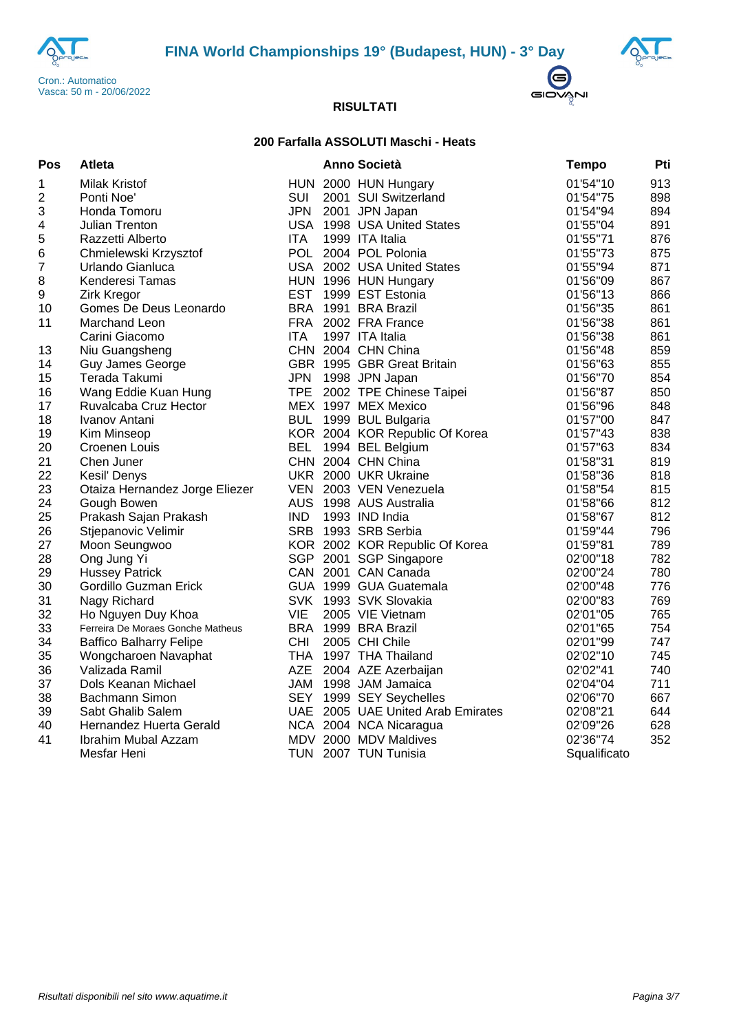





## **200 Farfalla ASSOLUTI Maschi - Heats**

| Pos                     | <b>Atleta</b>                     |            | Anno Società                      | <b>Tempo</b> | Pti |
|-------------------------|-----------------------------------|------------|-----------------------------------|--------------|-----|
| 1                       | <b>Milak Kristof</b>              |            | HUN 2000 HUN Hungary              | 01'54"10     | 913 |
| $\overline{\mathbf{c}}$ | Ponti Noe'                        | <b>SUI</b> | 2001 SUI Switzerland              | 01'54"75     | 898 |
| 3                       | Honda Tomoru                      | <b>JPN</b> | 2001 JPN Japan                    | 01'54"94     | 894 |
| 4                       | Julian Trenton                    |            | USA 1998 USA United States        | 01'55"04     | 891 |
| 5                       | Razzetti Alberto                  | <b>ITA</b> | 1999 ITA Italia                   | 01'55"71     | 876 |
| 6                       | Chmielewski Krzysztof             |            | POL 2004 POL Polonia              | 01'55"73     | 875 |
| $\overline{\mathbf{7}}$ | Urlando Gianluca                  |            | USA 2002 USA United States        | 01'55"94     | 871 |
| 8                       | Kenderesi Tamas                   |            | HUN 1996 HUN Hungary              | 01'56"09     | 867 |
| $\boldsymbol{9}$        | <b>Zirk Kregor</b>                | <b>EST</b> | 1999 EST Estonia                  | 01'56"13     | 866 |
| 10                      | Gomes De Deus Leonardo            |            | BRA 1991 BRA Brazil               | 01'56"35     | 861 |
| 11                      | Marchand Leon                     |            | FRA 2002 FRA France               | 01'56"38     | 861 |
|                         | Carini Giacomo                    | ITA.       | 1997 ITA Italia                   | 01'56"38     | 861 |
| 13                      | Niu Guangsheng                    |            | CHN 2004 CHN China                | 01'56"48     | 859 |
| 14                      | <b>Guy James George</b>           |            | GBR 1995 GBR Great Britain        | 01'56"63     | 855 |
| 15                      | Terada Takumi                     | <b>JPN</b> | 1998 JPN Japan                    | 01'56"70     | 854 |
| 16                      | Wang Eddie Kuan Hung              |            | TPE 2002 TPE Chinese Taipei       | 01'56"87     | 850 |
| 17                      | Ruvalcaba Cruz Hector             |            | MEX 1997 MEX Mexico               | 01'56"96     | 848 |
| 18                      | Ivanov Antani                     |            | BUL 1999 BUL Bulgaria             | 01'57"00     | 847 |
| 19                      | Kim Minseop                       |            | KOR 2004 KOR Republic Of Korea    | 01'57"43     | 838 |
| 20                      | Croenen Louis                     | <b>BEL</b> | 1994 BEL Belgium                  | 01'57"63     | 834 |
| 21                      | Chen Juner                        |            | CHN 2004 CHN China                | 01'58"31     | 819 |
| 22                      | Kesil' Denys                      |            | UKR 2000 UKR Ukraine              | 01'58"36     | 818 |
| 23                      | Otaiza Hernandez Jorge Eliezer    |            | VEN 2003 VEN Venezuela            | 01'58"54     | 815 |
| 24                      | Gough Bowen                       |            | AUS 1998 AUS Australia            | 01'58"66     | 812 |
| 25                      | Prakash Sajan Prakash             | <b>IND</b> | 1993 IND India                    | 01'58"67     | 812 |
| 26                      | Stjepanovic Velimir               |            | SRB 1993 SRB Serbia               | 01'59"44     | 796 |
| 27                      | Moon Seungwoo                     |            | KOR 2002 KOR Republic Of Korea    | 01'59"81     | 789 |
| 28                      | Ong Jung Yi                       |            | SGP 2001 SGP Singapore            | 02'00"18     | 782 |
| 29                      | <b>Hussey Patrick</b>             |            | CAN 2001 CAN Canada               | 02'00"24     | 780 |
| 30                      | Gordillo Guzman Erick             |            | GUA 1999 GUA Guatemala            | 02'00"48     | 776 |
| 31                      | Nagy Richard                      |            | SVK 1993 SVK Slovakia             | 02'00"83     | 769 |
| 32                      | Ho Nguyen Duy Khoa                | <b>VIE</b> | 2005 VIE Vietnam                  | 02'01"05     | 765 |
| 33                      | Ferreira De Moraes Gonche Matheus |            | BRA 1999 BRA Brazil               | 02'01"65     | 754 |
| 34                      | <b>Baffico Balharry Felipe</b>    | <b>CHI</b> | 2005 CHI Chile                    | 02'01"99     | 747 |
| 35                      | Wongcharoen Navaphat              |            | THA 1997 THA Thailand             | 02'02"10     | 745 |
| 36                      | Valizada Ramil                    | AZE        | 2004 AZE Azerbaijan               | 02'02"41     | 740 |
| 37                      | Dols Keanan Michael               |            | JAM 1998 JAM Jamaica              | 02'04"04     | 711 |
| 38                      | <b>Bachmann Simon</b>             | <b>SEY</b> | 1999 SEY Seychelles               | 02'06"70     | 667 |
| 39                      | Sabt Ghalib Salem                 |            | UAE 2005 UAE United Arab Emirates | 02'08"21     | 644 |
| 40                      | Hernandez Huerta Gerald           |            | NCA 2004 NCA Nicaragua            | 02'09"26     | 628 |
| 41                      | Ibrahim Mubal Azzam               |            | MDV 2000 MDV Maldives             | 02'36"74     | 352 |
|                         | Mesfar Heni                       |            | TUN 2007 TUN Tunisia              | Squalificato |     |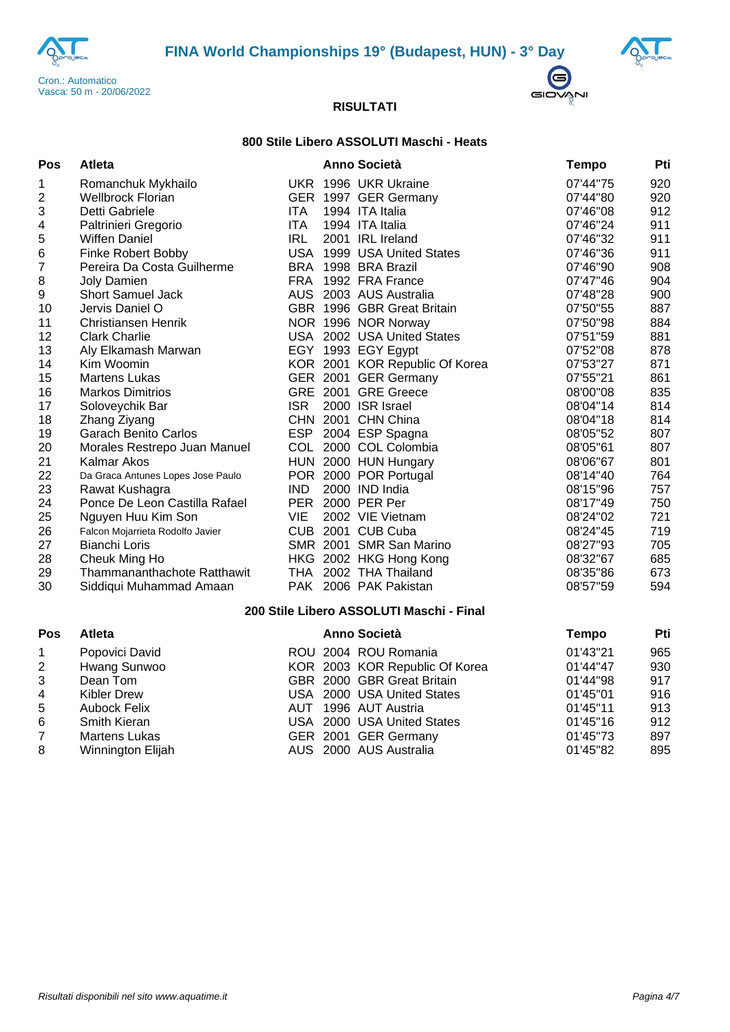





## **800 Stile Libero ASSOLUTI Maschi - Heats**

| Pos            | <b>Atleta</b>                     |            | <b>Anno Società</b>            | Tempo    | Pti |
|----------------|-----------------------------------|------------|--------------------------------|----------|-----|
| 1              | Romanchuk Mykhailo                |            | UKR 1996 UKR Ukraine           | 07'44"75 | 920 |
| $\overline{c}$ | <b>Wellbrock Florian</b>          |            | GER 1997 GER Germany           | 07'44"80 | 920 |
| 3              | Detti Gabriele                    | ITA.       | 1994 ITA Italia                | 07'46"08 | 912 |
| 4              | Paltrinieri Gregorio              | ITA.       | 1994 ITA Italia                | 07'46"24 | 911 |
| 5              | <b>Wiffen Daniel</b>              | <b>IRL</b> | 2001 IRL Ireland               | 07'46"32 | 911 |
| 6              | <b>Finke Robert Bobby</b>         | USA        | 1999 USA United States         | 07'46"36 | 911 |
| $\overline{7}$ | Pereira Da Costa Guilherme        |            | BRA 1998 BRA Brazil            | 07'46"90 | 908 |
| 8              | <b>Joly Damien</b>                | <b>FRA</b> | 1992 FRA France                | 07'47"46 | 904 |
| 9              | <b>Short Samuel Jack</b>          |            | AUS 2003 AUS Australia         | 07'48"28 | 900 |
| 10             | Jervis Daniel O                   |            | GBR 1996 GBR Great Britain     | 07'50"55 | 887 |
| 11             | Christiansen Henrik               |            | NOR 1996 NOR Norway            | 07'50"98 | 884 |
| 12             | <b>Clark Charlie</b>              |            | USA 2002 USA United States     | 07'51"59 | 881 |
| 13             | Aly Elkamash Marwan               |            | EGY 1993 EGY Egypt             | 07'52"08 | 878 |
| 14             | Kim Woomin                        |            | KOR 2001 KOR Republic Of Korea | 07'53"27 | 871 |
| 15             | <b>Martens Lukas</b>              |            | GER 2001 GER Germany           | 07'55"21 | 861 |
| 16             | <b>Markos Dimitrios</b>           |            | GRE 2001 GRE Greece            | 08'00"08 | 835 |
| 17             | Soloveychik Bar                   | <b>ISR</b> | 2000 ISR Israel                | 08'04"14 | 814 |
| 18             | Zhang Ziyang                      | <b>CHN</b> | 2001 CHN China                 | 08'04"18 | 814 |
| 19             | <b>Garach Benito Carlos</b>       | ESP        | 2004 ESP Spagna                | 08'05"52 | 807 |
| 20             | Morales Restrepo Juan Manuel      |            | COL 2000 COL Colombia          | 08'05"61 | 807 |
| 21             | Kalmar Akos                       |            | HUN 2000 HUN Hungary           | 08'06"67 | 801 |
| 22             | Da Graca Antunes Lopes Jose Paulo |            | POR 2000 POR Portugal          | 08'14"40 | 764 |
| 23             | Rawat Kushagra                    | IND.       | 2000 IND India                 | 08'15"96 | 757 |
| 24             | Ponce De Leon Castilla Rafael     | PER        | 2000 PER Per                   | 08'17"49 | 750 |
| 25             | Nguyen Huu Kim Son                | VIE        | 2002 VIE Vietnam               | 08'24"02 | 721 |
| 26             | Falcon Mojarrieta Rodolfo Javier  |            | CUB 2001 CUB Cuba              | 08'24"45 | 719 |
| 27             | <b>Bianchi Loris</b>              |            | SMR 2001 SMR San Marino        | 08'27"93 | 705 |
| 28             | Cheuk Ming Ho                     |            | HKG 2002 HKG Hong Kong         | 08'32"67 | 685 |
| 29             | Thammananthachote Ratthawit       | THA        | 2002 THA Thailand              | 08'35"86 | 673 |
| 30             | Siddiqui Muhammad Amaan           |            | PAK 2006 PAK Pakistan          | 08'57"59 | 594 |

## **200 Stile Libero ASSOLUTI Maschi - Final**

| <b>Pos</b>     | <b>Atleta</b>        |  | <b>Anno Società</b>            | <b>Tempo</b> | Pti |
|----------------|----------------------|--|--------------------------------|--------------|-----|
| $\mathbf{1}$   | Popovici David       |  | ROU 2004 ROU Romania           | 01'43"21     | 965 |
| $\mathbf{2}$   | Hwang Sunwoo         |  | KOR 2003 KOR Republic Of Korea | 01'44"47     | 930 |
| 3              | Dean Tom             |  | GBR 2000 GBR Great Britain     | 01'44"98     | 917 |
| $\overline{4}$ | Kibler Drew          |  | USA 2000 USA United States     | 01'45"01     | 916 |
| 5              | <b>Aubock Felix</b>  |  | AUT 1996 AUT Austria           | 01'45"11     | 913 |
| 6              | <b>Smith Kieran</b>  |  | USA 2000 USA United States     | 01'45"16     | 912 |
| $7^{\circ}$    | <b>Martens Lukas</b> |  | GER 2001 GER Germany           | 01'45"73     | 897 |
| 8              | Winnington Elijah    |  | AUS 2000 AUS Australia         | 01'45"82     | 895 |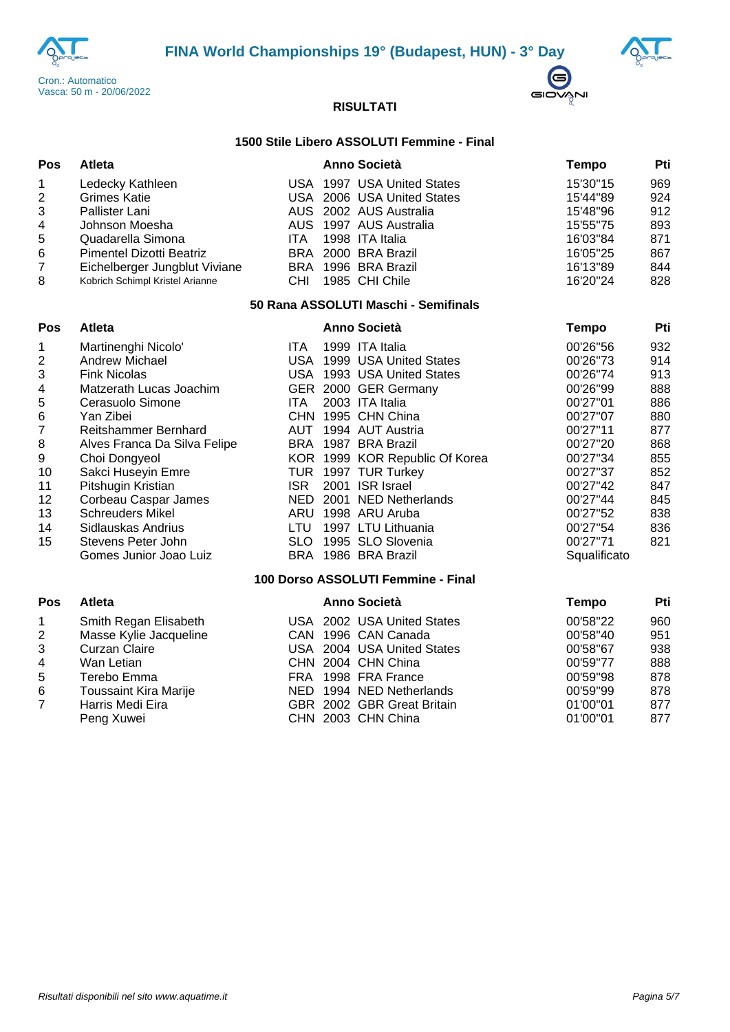





## **1500 Stile Libero ASSOLUTI Femmine - Final**

| <b>Pos</b>     | <b>Atleta</b>                   |      | Anno Società               | Tempo    | Pti |
|----------------|---------------------------------|------|----------------------------|----------|-----|
| $\mathbf{1}$   | Ledecky Kathleen                |      | USA 1997 USA United States | 15'30"15 | 969 |
| 2              | Grimes Katie                    |      | USA 2006 USA United States | 15'44"89 | 924 |
| 3              | Pallister Lani                  |      | AUS 2002 AUS Australia     | 15'48"96 | 912 |
| 4              | Johnson Moesha                  |      | AUS 1997 AUS Australia     | 15'55"75 | 893 |
| 5              | Quadarella Simona               | ITA. | 1998 ITA Italia            | 16'03"84 | 871 |
| 6              | Pimentel Dizotti Beatriz        |      | BRA 2000 BRA Brazil        | 16'05"25 | 867 |
| $\overline{7}$ | Eichelberger Jungblut Viviane   |      | BRA 1996 BRA Brazil        | 16'13"89 | 844 |
| 8              | Kobrich Schimpl Kristel Arianne | CHI  | 1985 CHI Chile             | 16'20"24 | 828 |

#### **50 Rana ASSOLUTI Maschi - Semifinals**

| <b>Pos</b>     | Atleta                       |            |      | <b>Anno Società</b>                | <b>Tempo</b> | Pti |
|----------------|------------------------------|------------|------|------------------------------------|--------------|-----|
| 1              | Martinenghi Nicolo'          | ITA.       |      | 1999 ITA Italia                    | 00'26"56     | 932 |
| $\overline{2}$ | Andrew Michael               | USA.       |      | 1999 USA United States             | 00'26"73     | 914 |
| 3              | <b>Fink Nicolas</b>          | USA.       |      | 1993 USA United States             | 00'26"74     | 913 |
| 4              | Matzerath Lucas Joachim      | <b>GER</b> |      | 2000 GER Germany                   | 00'26"99     | 888 |
| 5              | Cerasuolo Simone             | ITA.       |      | 2003 ITA Italia                    | 00'27"01     | 886 |
| 6              | Yan Zibei                    | CHN.       |      | 1995 CHN China                     | 00'27"07     | 880 |
| 7              | Reitshammer Bernhard         | AUT        |      | 1994 AUT Austria                   | 00'27"11     | 877 |
| 8              | Alves Franca Da Silva Felipe | BRA        | 1987 | <b>BRA Brazil</b>                  | 00'27"20     | 868 |
| 9              | Choi Dongyeol                | KOR.       |      | 1999 KOR Republic Of Korea         | 00'27"34     | 855 |
| 10             | Sakci Huseyin Emre           | TUR        |      | 1997 TUR Turkey                    | 00'27"37     | 852 |
| 11             | Pitshugin Kristian           | ISR.       | 2001 | <b>ISR Israel</b>                  | 00'27"42     | 847 |
| 12             | Corbeau Caspar James         | <b>NED</b> | 2001 | <b>NED Netherlands</b>             | 00'27"44     | 845 |
| 13             | <b>Schreuders Mikel</b>      | ARU        |      | 1998 ARU Aruba                     | 00'27"52     | 838 |
| 14             | Sidlauskas Andrius           | LTU        |      | 1997 LTU Lithuania                 | 00'27"54     | 836 |
| 15             | Stevens Peter John           | SLO.       |      | 1995 SLO Slovenia                  | 00'27"71     | 821 |
|                | Gomes Junior Joao Luiz       | BRA        |      | 1986 BRA Brazil                    | Squalificato |     |
|                |                              |            |      | 100 Dorso ASSOLUTI Femmine - Final |              |     |
| Pos            | Atleta                       |            |      | <b>Anno Società</b>                | Tempo        | Pti |

| $\overline{1}$ | Smith Regan Elisabeth        | USA 2002 USA United States | 00'58"22 | 960 |
|----------------|------------------------------|----------------------------|----------|-----|
| 2              | Masse Kylie Jacqueline       | CAN 1996 CAN Canada        | 00'58"40 | 951 |
| 3              | Curzan Claire                | USA 2004 USA United States | 00'58"67 | 938 |
| $\overline{4}$ | Wan Letian                   | CHN 2004 CHN China         | 00'59"77 | 888 |
| 5              | Terebo Emma                  | FRA 1998 FRA France        | 00'59"98 | 878 |
| 6              | <b>Toussaint Kira Marije</b> | NED 1994 NED Netherlands   | 00'59"99 | 878 |
| $\overline{7}$ | Harris Medi Eira             | GBR 2002 GBR Great Britain | 01'00"01 | 877 |
|                | Peng Xuwei                   | CHN 2003 CHN China         | 01'00"01 | 877 |
|                |                              |                            |          |     |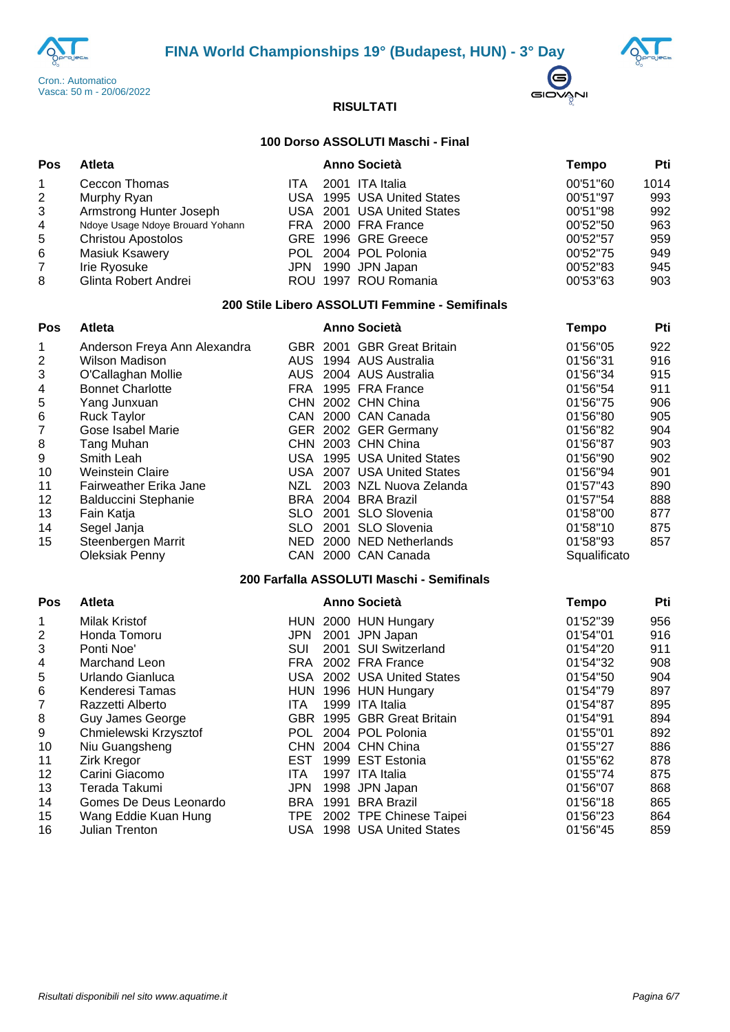





## **100 Dorso ASSOLUTI Maschi - Final**

| Pos            | <b>Atleta</b>                    |            | <b>Anno Società</b>        | Tempo    | Pti  |
|----------------|----------------------------------|------------|----------------------------|----------|------|
| $\mathbf{1}$   | Ceccon Thomas                    | <b>ITA</b> | 2001 ITA Italia            | 00'51"60 | 1014 |
| 2              | Murphy Ryan                      |            | USA 1995 USA United States | 00'51"97 | 993  |
| 3              | Armstrong Hunter Joseph          |            | USA 2001 USA United States | 00'51"98 | 992  |
| 4              | Ndoye Usage Ndoye Brouard Yohann |            | FRA 2000 FRA France        | 00'52"50 | 963  |
| 5              | <b>Christou Apostolos</b>        |            | GRE 1996 GRE Greece        | 00'52"57 | 959  |
| 6              | <b>Masiuk Ksawery</b>            |            | POL 2004 POL Polonia       | 00'52"75 | 949  |
| $\overline{7}$ | Irie Ryosuke                     |            | JPN 1990 JPN Japan         | 00'52"83 | 945  |
| 8              | Glinta Robert Andrei             |            | ROU 1997 ROU Romania       | 00'53"63 | 903  |

#### **200 Stile Libero ASSOLUTI Femmine - Semifinals**

| Pos                       | Atleta                       |            |       | <b>Anno Società</b>                       | Tempo         | Pti |
|---------------------------|------------------------------|------------|-------|-------------------------------------------|---------------|-----|
| 1                         | Anderson Freya Ann Alexandra |            |       | GBR 2001 GBR Great Britain                | 01'56"05      | 922 |
| $\overline{2}$            | <b>Wilson Madison</b>        | AUS.       |       | 1994 AUS Australia                        | 01'56"31      | 916 |
| $\ensuremath{\mathsf{3}}$ | O'Callaghan Mollie           | <b>AUS</b> |       | 2004 AUS Australia                        | 01'56"34      | 915 |
| 4                         | <b>Bonnet Charlotte</b>      | FRA.       |       | 1995 FRA France                           | 01'56"54      | 911 |
| 5                         | Yang Junxuan                 | <b>CHN</b> |       | 2002 CHN China                            | 01'56"75      | 906 |
| 6                         | <b>Ruck Taylor</b>           |            |       | CAN 2000 CAN Canada                       | 01'56"80      | 905 |
| 7                         | Gose Isabel Marie            |            |       | GER 2002 GER Germany                      | 01'56"82      | 904 |
| 8                         | Tang Muhan                   |            |       | CHN 2003 CHN China                        | 01'56"87      | 903 |
| 9                         | Smith Leah                   | USA        |       | 1995 USA United States                    | 01'56"90      | 902 |
| 10                        | <b>Weinstein Claire</b>      | <b>USA</b> |       | 2007 USA United States                    | 01'56"94      | 901 |
| 11                        | Fairweather Erika Jane       | NZL        |       | 2003 NZL Nuova Zelanda                    | 01'57"43      | 890 |
| 12                        | <b>Balduccini Stephanie</b>  | BRA        |       | 2004 BRA Brazil                           | 01'57"54      | 888 |
| 13                        | Fain Katja                   | SLO.       |       | 2001 SLO Slovenia                         | 01'58"00      | 877 |
| 14                        | Segel Janja                  | SLO.       |       | 2001 SLO Slovenia                         | 01'58"10      | 875 |
| 15                        | Steenbergen Marrit           | <b>NED</b> |       | 2000 NED Netherlands                      | 01'58"93      | 857 |
|                           | <b>Oleksiak Penny</b>        | CAN        |       | 2000 CAN Canada                           | Squalificato  |     |
|                           |                              |            |       | 200 Farfalla ASSOLUTI Maschi - Semifinals |               |     |
| <b>Pos</b>                | <b>Atleta</b>                |            |       | <b>Anno Società</b>                       | Tempo         | Pti |
| 1                         | <b>Milak Kristof</b>         |            |       | HUN 2000 HUN Hungary                      | 01'52"39      | 956 |
| ົ                         | Hondo Tomoru                 | IDNI       | റ∩∩ 1 | <b>IDNI</b> Johan                         | $04!E$ $4!04$ | 01G |

|    | MIIAK Kristof          |            | HUN 2000 HUN HUNGARY        | UT 52 39 | ႸჂႦ |
|----|------------------------|------------|-----------------------------|----------|-----|
| 2  | Honda Tomoru           | JPN.       | 2001 JPN Japan              | 01'54"01 | 916 |
| 3  | Ponti Noe'             | SUI        | 2001 SUI Switzerland        | 01'54"20 | 911 |
| 4  | Marchand Leon          |            | FRA 2002 FRA France         | 01'54"32 | 908 |
| 5  | Urlando Gianluca       |            | USA 2002 USA United States  | 01'54"50 | 904 |
| 6  | Kenderesi Tamas        |            | HUN 1996 HUN Hungary        | 01'54"79 | 897 |
|    | Razzetti Alberto       | ITA.       | 1999 ITA Italia             | 01'54"87 | 895 |
| 8  | Guy James George       |            | GBR 1995 GBR Great Britain  | 01'54"91 | 894 |
| 9  | Chmielewski Krzysztof  |            | POL 2004 POL Polonia        | 01'55"01 | 892 |
| 10 | Niu Guangsheng         |            | CHN 2004 CHN China          | 01'55"27 | 886 |
| 11 | <b>Zirk Kregor</b>     | EST.       | 1999 EST Estonia            | 01'55"62 | 878 |
| 12 | Carini Giacomo         | ITA.       | 1997 ITA Italia             | 01'55"74 | 875 |
| 13 | Terada Takumi          | <b>JPN</b> | 1998 JPN Japan              | 01'56"07 | 868 |
| 14 | Gomes De Deus Leonardo | <b>BRA</b> | 1991 BRA Brazil             | 01'56"18 | 865 |
| 15 | Wang Eddie Kuan Hung   |            | TPE 2002 TPE Chinese Taipei | 01'56"23 | 864 |
| 16 | Julian Trenton         |            | USA 1998 USA United States  | 01'56"45 | 859 |